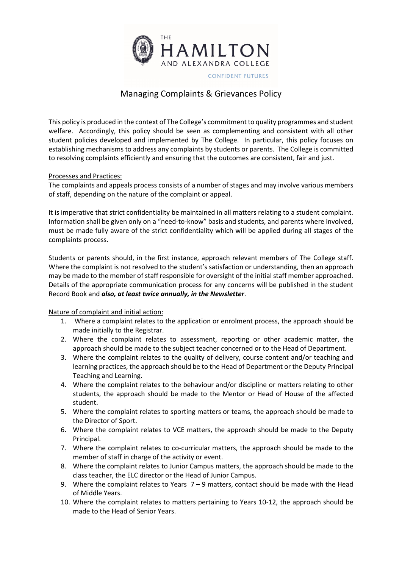

## Managing Complaints & Grievances Policy

This policy is produced in the context of The College's commitment to quality programmes and student welfare. Accordingly, this policy should be seen as complementing and consistent with all other student policies developed and implemented by The College. In particular, this policy focuses on establishing mechanisms to address any complaints by students or parents. The College is committed to resolving complaints efficiently and ensuring that the outcomes are consistent, fair and just.

## Processes and Practices:

The complaints and appeals process consists of a number of stages and may involve various members of staff, depending on the nature of the complaint or appeal.

It is imperative that strict confidentiality be maintained in all matters relating to a student complaint. Information shall be given only on a "need-to-know" basis and students, and parents where involved, must be made fully aware of the strict confidentiality which will be applied during all stages of the complaints process.

Students or parents should, in the first instance, approach relevant members of The College staff. Where the complaint is not resolved to the student's satisfaction or understanding, then an approach may be made to the member of staff responsible for oversight of the initial staff member approached. Details of the appropriate communication process for any concerns will be published in the student Record Book and *also, at least twice annually, in the Newsletter*.

## Nature of complaint and initial action:

- 1. Where a complaint relates to the application or enrolment process, the approach should be made initially to the Registrar.
- 2. Where the complaint relates to assessment, reporting or other academic matter, the approach should be made to the subject teacher concerned or to the Head of Department.
- 3. Where the complaint relates to the quality of delivery, course content and/or teaching and learning practices, the approach should be to the Head of Department or the Deputy Principal Teaching and Learning.
- 4. Where the complaint relates to the behaviour and/or discipline or matters relating to other students, the approach should be made to the Mentor or Head of House of the affected student.
- 5. Where the complaint relates to sporting matters or teams, the approach should be made to the Director of Sport.
- 6. Where the complaint relates to VCE matters, the approach should be made to the Deputy Principal.
- 7. Where the complaint relates to co-curricular matters, the approach should be made to the member of staff in charge of the activity or event.
- 8. Where the complaint relates to Junior Campus matters, the approach should be made to the class teacher, the ELC director or the Head of Junior Campus.
- 9. Where the complaint relates to Years  $7 9$  matters, contact should be made with the Head of Middle Years.
- 10. Where the complaint relates to matters pertaining to Years 10-12, the approach should be made to the Head of Senior Years.